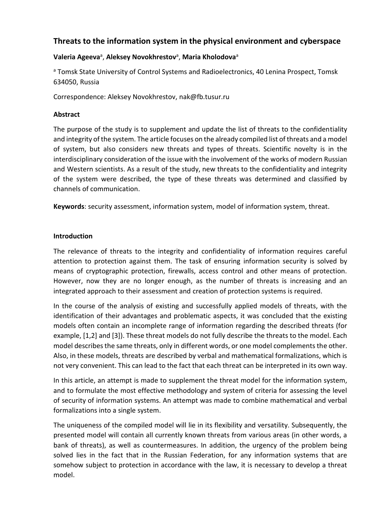# **Threats to the information system in the physical environment and cyberspace**

## Valeria Ageeva<sup>a</sup>, Aleksey Novokhrestov<sup>a</sup>, Maria Kholodova<sup>a</sup>

a Tomsk State University of Control Systems and Radioelectronics, 40 Lenina Prospect, Tomsk 634050, Russia

Correspondence: Aleksey Novokhrestov, nak@fb.tusur.ru

#### **Abstract**

The purpose of the study is to supplement and update the list of threats to the confidentiality and integrity of the system. The article focuses on the already compiled list of threats and a model of system, but also considers new threats and types of threats. Scientific novelty is in the interdisciplinary consideration of the issue with the involvement of the works of modern Russian and Western scientists. As a result of the study, new threats to the confidentiality and integrity of the system were described, the type of these threats was determined and classified by channels of communication.

**Keywords**: security assessment, information system, model of information system, threat.

## **Introduction**

The relevance of threats to the integrity and confidentiality of information requires careful attention to protection against them. The task of ensuring information security is solved by means of cryptographic protection, firewalls, access control and other means of protection. However, now they are no longer enough, as the number of threats is increasing and an integrated approach to their assessment and creation of protection systems is required.

In the course of the analysis of existing and successfully applied models of threats, with the identification of their advantages and problematic aspects, it was concluded that the existing models often contain an incomplete range of information regarding the described threats (for example, [1,2] and [3]). These threat models do not fully describe the threats to the model. Each model describes the same threats, only in different words, or one model complements the other. Also, in these models, threats are described by verbal and mathematical formalizations, which is not very convenient. This can lead to the fact that each threat can be interpreted in its own way.

In this article, an attempt is made to supplement the threat model for the information system, and to formulate the most effective methodology and system of criteria for assessing the level of security of information systems. An attempt was made to combine mathematical and verbal formalizations into a single system.

The uniqueness of the compiled model will lie in its flexibility and versatility. Subsequently, the presented model will contain all currently known threats from various areas (in other words, a bank of threats), as well as countermeasures. In addition, the urgency of the problem being solved lies in the fact that in the Russian Federation, for any information systems that are somehow subject to protection in accordance with the law, it is necessary to develop a threat model.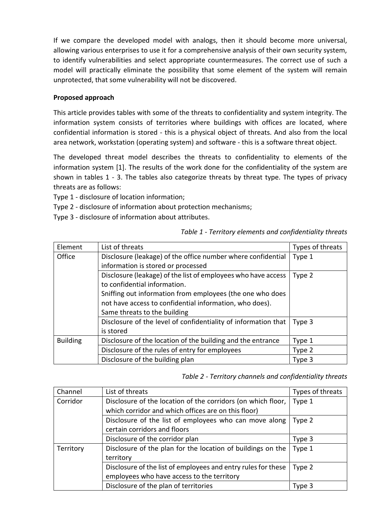If we compare the developed model with analogs, then it should become more universal, allowing various enterprises to use it for a comprehensive analysis of their own security system, to identify vulnerabilities and select appropriate countermeasures. The correct use of such a model will practically eliminate the possibility that some element of the system will remain unprotected, that some vulnerability will not be discovered.

## **Proposed approach**

This article provides tables with some of the threats to confidentiality and system integrity. The information system consists of territories where buildings with offices are located, where confidential information is stored - this is a physical object of threats. And also from the local area network, workstation (operating system) and software - this is a software threat object.

The developed threat model describes the threats to confidentiality to elements of the information system [1]. The results of the work done for the confidentiality of the system are shown in tables 1 - 3. The tables also categorize threats by threat type. The types of privacy threats are as follows:

Type 1 - disclosure of location information;

Type 2 - disclosure of information about protection mechanisms;

Type 3 - disclosure of information about attributes.

| Element         | List of threats                                                | Types of threats |
|-----------------|----------------------------------------------------------------|------------------|
| Office          | Disclosure (leakage) of the office number where confidential   | Type 1           |
|                 | information is stored or processed                             |                  |
|                 | Disclosure (leakage) of the list of employees who have access  | Type 2           |
|                 | to confidential information.                                   |                  |
|                 | Sniffing out information from employees (the one who does      |                  |
|                 | not have access to confidential information, who does).        |                  |
|                 | Same threats to the building                                   |                  |
|                 | Disclosure of the level of confidentiality of information that | Type 3           |
|                 | is stored                                                      |                  |
| <b>Building</b> | Disclosure of the location of the building and the entrance    | Type 1           |
|                 | Disclosure of the rules of entry for employees                 | Type 2           |
|                 | Disclosure of the building plan                                | Type 3           |

## *Table 1 - Territory elements and confidentiality threats*

*Table 2 - Territory channels and confidentiality threats*

| Channel   | List of threats                                               | Types of threats |
|-----------|---------------------------------------------------------------|------------------|
| Corridor  | Disclosure of the location of the corridors (on which floor,  | Type 1           |
|           | which corridor and which offices are on this floor)           |                  |
|           | Disclosure of the list of employees who can move along        | Type 2           |
|           | certain corridors and floors                                  |                  |
|           | Disclosure of the corridor plan                               | Type 3           |
| Territory | Disclosure of the plan for the location of buildings on the   | Type 1           |
|           | territory                                                     |                  |
|           | Disclosure of the list of employees and entry rules for these | Type 2           |
|           | employees who have access to the territory                    |                  |
|           | Disclosure of the plan of territories                         | Type 3           |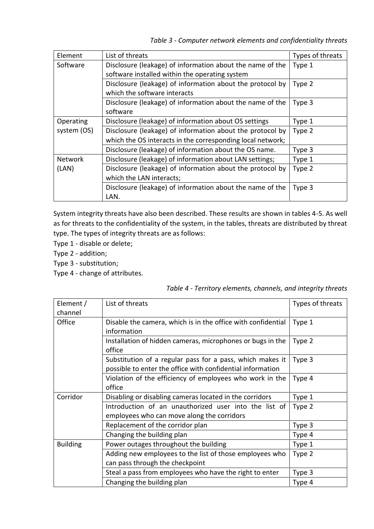| Element        | List of threats                                            | Types of threats |
|----------------|------------------------------------------------------------|------------------|
| Software       | Disclosure (leakage) of information about the name of the  | Type 1           |
|                | software installed within the operating system             |                  |
|                | Disclosure (leakage) of information about the protocol by  | Type 2           |
|                | which the software interacts                               |                  |
|                | Disclosure (leakage) of information about the name of the  | Type 3           |
|                | software                                                   |                  |
| Operating      | Disclosure (leakage) of information about OS settings      | Type 1           |
| system (OS)    | Disclosure (leakage) of information about the protocol by  | Type 2           |
|                | which the OS interacts in the corresponding local network; |                  |
|                | Disclosure (leakage) of information about the OS name.     | Type 3           |
| <b>Network</b> | Disclosure (leakage) of information about LAN settings;    | Type 1           |
| (LAN)          | Disclosure (leakage) of information about the protocol by  | Type 2           |
|                | which the LAN interacts;                                   |                  |
|                | Disclosure (leakage) of information about the name of the  | Type 3           |
|                | LAN.                                                       |                  |

System integrity threats have also been described. These results are shown in tables 4-5. As well as for threats to the confidentiality of the system, in the tables, threats are distributed by threat type. The types of integrity threats are as follows:

- Type 1 disable or delete;
- Type 2 addition;
- Type 3 substitution;
- Type 4 change of attributes.

*Table 4 - Territory elements, channels, and integrity threats*

| Element /       | List of threats                                              | Types of threats |
|-----------------|--------------------------------------------------------------|------------------|
| channel         |                                                              |                  |
| Office          | Disable the camera, which is in the office with confidential | Type 1           |
|                 | information                                                  |                  |
|                 | Installation of hidden cameras, microphones or bugs in the   | Type 2           |
|                 | office                                                       |                  |
|                 | Substitution of a regular pass for a pass, which makes it    | Type 3           |
|                 | possible to enter the office with confidential information   |                  |
|                 | Violation of the efficiency of employees who work in the     | Type 4           |
|                 | office                                                       |                  |
| Corridor        | Disabling or disabling cameras located in the corridors      | Type 1           |
|                 | Introduction of an unauthorized user into the list of        | Type 2           |
|                 | employees who can move along the corridors                   |                  |
|                 | Replacement of the corridor plan                             | Type 3           |
|                 | Changing the building plan                                   | Type 4           |
| <b>Building</b> | Power outages throughout the building                        | Type 1           |
|                 | Adding new employees to the list of those employees who      | Type 2           |
|                 | can pass through the checkpoint                              |                  |
|                 | Steal a pass from employees who have the right to enter      | Type 3           |
|                 | Changing the building plan                                   | Type 4           |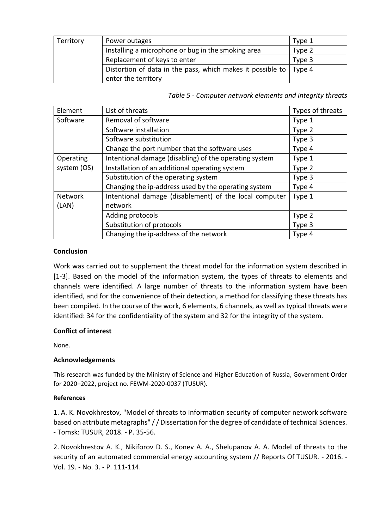| Territory | Power outages                                                       | Type 1 |
|-----------|---------------------------------------------------------------------|--------|
|           | Installing a microphone or bug in the smoking area                  | Type 2 |
|           | Replacement of keys to enter                                        | Type 3 |
|           | Distortion of data in the pass, which makes it possible to   Type 4 |        |
|           | enter the territory                                                 |        |

*Table 5 - Computer network elements and integrity threats*

| Element     | List of threats                                        | Types of threats |
|-------------|--------------------------------------------------------|------------------|
| Software    | Removal of software                                    | Type 1           |
|             | Software installation                                  | Type 2           |
|             | Software substitution                                  | Type 3           |
|             | Change the port number that the software uses          | Type 4           |
| Operating   | Intentional damage (disabling) of the operating system | Type 1           |
| system (OS) | Installation of an additional operating system         | Type 2           |
|             | Substitution of the operating system                   | Type 3           |
|             | Changing the ip-address used by the operating system   | Type 4           |
| Network     | Intentional damage (disablement) of the local computer | Type 1           |
| (LAN)       | network                                                |                  |
|             | Adding protocols                                       | Type 2           |
|             | Substitution of protocols                              | Type 3           |
|             | Changing the ip-address of the network                 | Type 4           |

#### **Conclusion**

Work was carried out to supplement the threat model for the information system described in [1-3]. Based on the model of the information system, the types of threats to elements and channels were identified. A large number of threats to the information system have been identified, and for the convenience of their detection, a method for classifying these threats has been compiled. In the course of the work, 6 elements, 6 channels, as well as typical threats were identified: 34 for the confidentiality of the system and 32 for the integrity of the system.

## **Conflict of interest**

None.

#### **Acknowledgements**

This research was funded by the Ministry of Science and Higher Education of Russia, Government Order for 2020–2022, project no. FEWM-2020-0037 (TUSUR).

#### **References**

1. A. K. Novokhrestov, "Model of threats to information security of computer network software based on attribute metagraphs" / / Dissertation for the degree of candidate of technical Sciences. - Tomsk: TUSUR, 2018. - P. 35-56.

2. Novokhrestov A. K., Nikiforov D. S., Konev A. A., Shelupanov A. A. Model of threats to the security of an automated commercial energy accounting system // Reports Of TUSUR. - 2016. - Vol. 19. - No. 3. - P. 111-114.